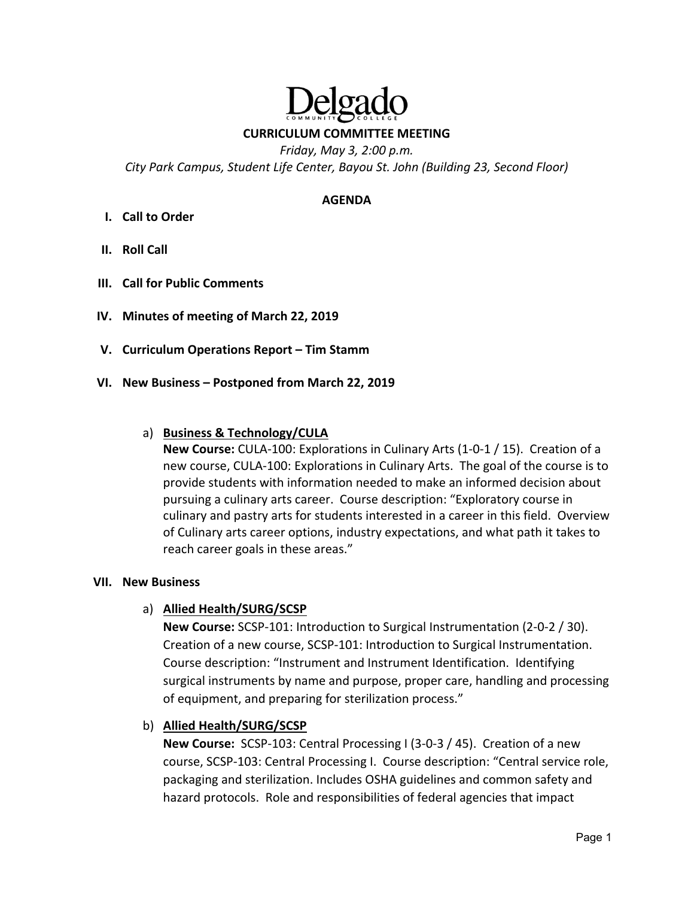#### **CURRICULUM COMMITTEE MEETING**

*Friday, May 3, 2:00 p.m. City Park Campus, Student Life Center, Bayou St. John (Building 23, Second Floor)* 

#### **AGENDA**

- **I. Call to Order**
- **II. Roll Call**
- **III. Call for Public Comments**
- **IV. Minutes of meeting of March 22, 2019**
- **V. Curriculum Operations Report Tim Stamm**
- **VI. New Business Postponed from March 22, 2019**

#### a) **Business & Technology/CULA**

**New Course:** CULA‐100: Explorations in Culinary Arts (1‐0‐1 / 15). Creation of a new course, CULA‐100: Explorations in Culinary Arts. The goal of the course is to provide students with information needed to make an informed decision about pursuing a culinary arts career. Course description: "Exploratory course in culinary and pastry arts for students interested in a career in this field. Overview of Culinary arts career options, industry expectations, and what path it takes to reach career goals in these areas."

#### **VII. New Business**

#### a) **Allied Health/SURG/SCSP**

**New Course:** SCSP‐101: Introduction to Surgical Instrumentation (2‐0‐2 / 30). Creation of a new course, SCSP‐101: Introduction to Surgical Instrumentation. Course description: "Instrument and Instrument Identification. Identifying surgical instruments by name and purpose, proper care, handling and processing of equipment, and preparing for sterilization process."

#### b) **Allied Health/SURG/SCSP**

**New Course:** SCSP‐103: Central Processing I (3‐0‐3 / 45). Creation of a new course, SCSP‐103: Central Processing I. Course description: "Central service role, packaging and sterilization. Includes OSHA guidelines and common safety and hazard protocols. Role and responsibilities of federal agencies that impact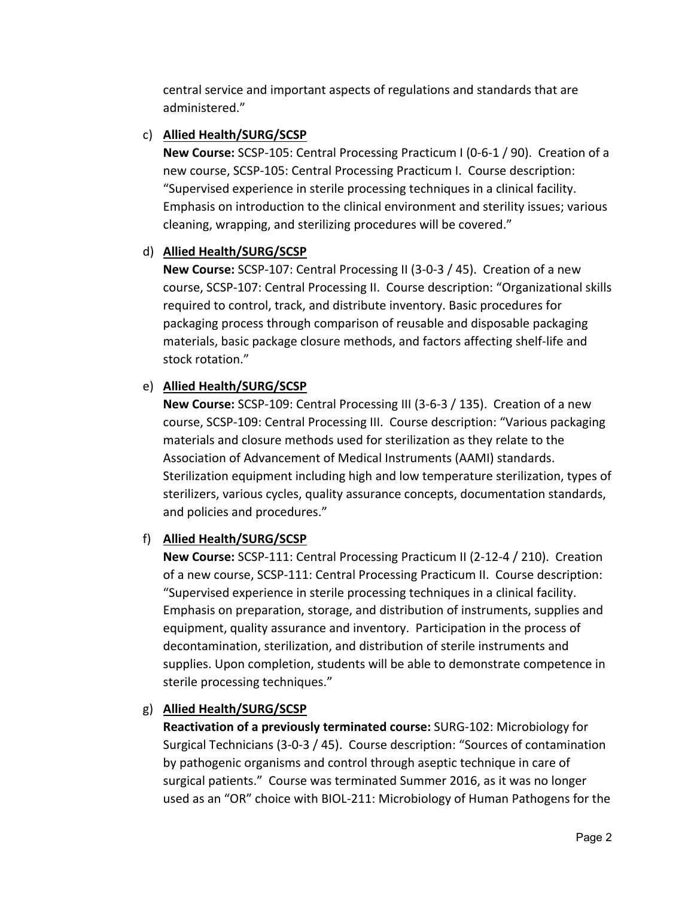central service and important aspects of regulations and standards that are administered."

## c) **Allied Health/SURG/SCSP**

**New Course:** SCSP‐105: Central Processing Practicum I (0‐6‐1 / 90). Creation of a new course, SCSP‐105: Central Processing Practicum I. Course description: "Supervised experience in sterile processing techniques in a clinical facility. Emphasis on introduction to the clinical environment and sterility issues; various cleaning, wrapping, and sterilizing procedures will be covered."

## d) **Allied Health/SURG/SCSP**

**New Course:** SCSP‐107: Central Processing II (3‐0‐3 / 45). Creation of a new course, SCSP‐107: Central Processing II. Course description: "Organizational skills required to control, track, and distribute inventory. Basic procedures for packaging process through comparison of reusable and disposable packaging materials, basic package closure methods, and factors affecting shelf‐life and stock rotation."

# e) **Allied Health/SURG/SCSP**

**New Course:** SCSP‐109: Central Processing III (3‐6‐3 / 135). Creation of a new course, SCSP‐109: Central Processing III. Course description: "Various packaging materials and closure methods used for sterilization as they relate to the Association of Advancement of Medical Instruments (AAMI) standards. Sterilization equipment including high and low temperature sterilization, types of sterilizers, various cycles, quality assurance concepts, documentation standards, and policies and procedures."

## f) **Allied Health/SURG/SCSP**

**New Course:** SCSP‐111: Central Processing Practicum II (2‐12‐4 / 210). Creation of a new course, SCSP‐111: Central Processing Practicum II. Course description: "Supervised experience in sterile processing techniques in a clinical facility. Emphasis on preparation, storage, and distribution of instruments, supplies and equipment, quality assurance and inventory. Participation in the process of decontamination, sterilization, and distribution of sterile instruments and supplies. Upon completion, students will be able to demonstrate competence in sterile processing techniques."

## g) **Allied Health/SURG/SCSP**

**Reactivation of a previously terminated course:** SURG‐102: Microbiology for Surgical Technicians (3‐0‐3 / 45). Course description: "Sources of contamination by pathogenic organisms and control through aseptic technique in care of surgical patients." Course was terminated Summer 2016, as it was no longer used as an "OR" choice with BIOL‐211: Microbiology of Human Pathogens for the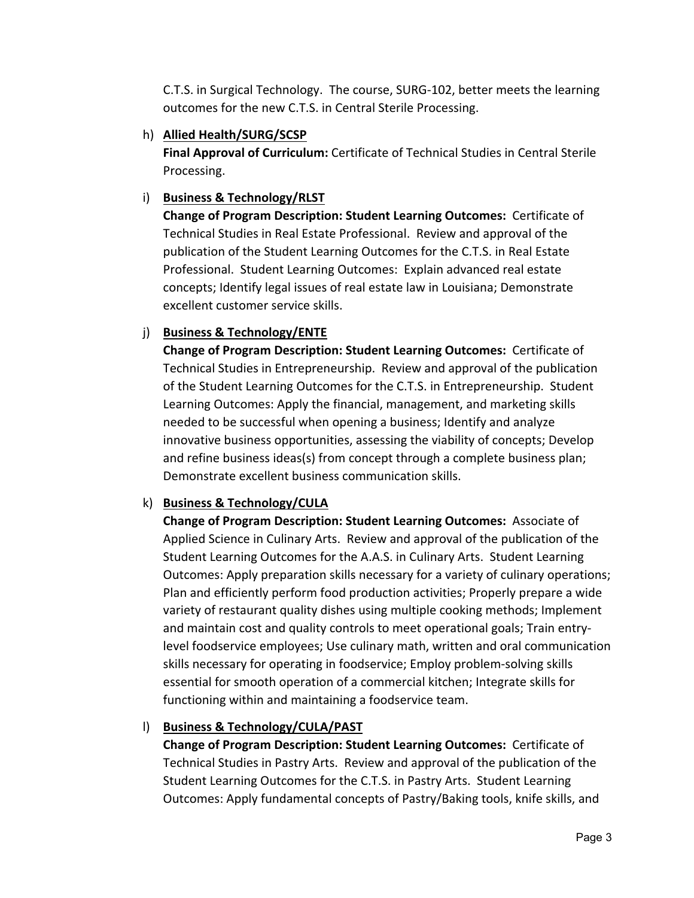C.T.S. in Surgical Technology. The course, SURG‐102, better meets the learning outcomes for the new C.T.S. in Central Sterile Processing.

h) **Allied Health/SURG/SCSP** 

**Final Approval of Curriculum:** Certificate of Technical Studies in Central Sterile Processing.

# i) **Business & Technology/RLST**

**Change of Program Description: Student Learning Outcomes: Certificate of** Technical Studies in Real Estate Professional. Review and approval of the publication of the Student Learning Outcomes for the C.T.S. in Real Estate Professional. Student Learning Outcomes: Explain advanced real estate concepts; Identify legal issues of real estate law in Louisiana; Demonstrate excellent customer service skills.

# j) **Business & Technology/ENTE**

**Change of Program Description: Student Learning Outcomes: Certificate of** Technical Studies in Entrepreneurship. Review and approval of the publication of the Student Learning Outcomes for the C.T.S. in Entrepreneurship. Student Learning Outcomes: Apply the financial, management, and marketing skills needed to be successful when opening a business; Identify and analyze innovative business opportunities, assessing the viability of concepts; Develop and refine business ideas(s) from concept through a complete business plan; Demonstrate excellent business communication skills.

## k) **Business & Technology/CULA**

**Change of Program Description: Student Learning Outcomes:** Associate of Applied Science in Culinary Arts. Review and approval of the publication of the Student Learning Outcomes for the A.A.S. in Culinary Arts. Student Learning Outcomes: Apply preparation skills necessary for a variety of culinary operations; Plan and efficiently perform food production activities; Properly prepare a wide variety of restaurant quality dishes using multiple cooking methods; Implement and maintain cost and quality controls to meet operational goals; Train entry‐ level foodservice employees; Use culinary math, written and oral communication skills necessary for operating in foodservice; Employ problem‐solving skills essential for smooth operation of a commercial kitchen; Integrate skills for functioning within and maintaining a foodservice team.

# l) **Business & Technology/CULA/PAST**

**Change of Program Description: Student Learning Outcomes: Certificate of** Technical Studies in Pastry Arts. Review and approval of the publication of the Student Learning Outcomes for the C.T.S. in Pastry Arts. Student Learning Outcomes: Apply fundamental concepts of Pastry/Baking tools, knife skills, and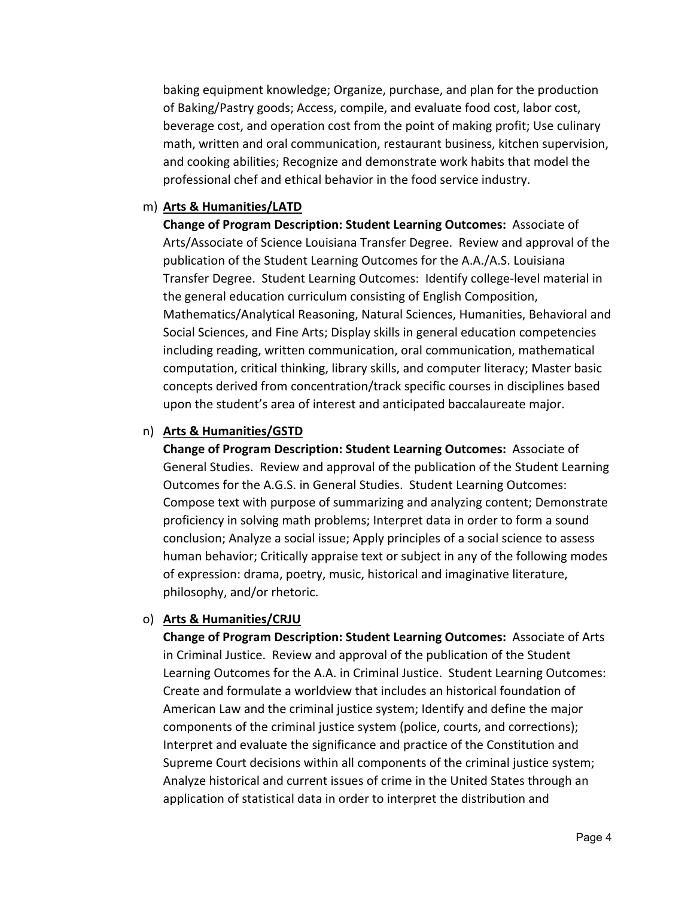baking equipment knowledge; Organize, purchase, and plan for the production of Baking/Pastry goods; Access, compile, and evaluate food cost, labor cost, beverage cost, and operation cost from the point of making profit; Use culinary math, written and oral communication, restaurant business, kitchen supervision, and cooking abilities; Recognize and demonstrate work habits that model the professional chef and ethical behavior in the food service industry.

#### m) **Arts & Humanities/LATD**

**Change of Program Description: Student Learning Outcomes: Associate of** Arts/Associate of Science Louisiana Transfer Degree. Review and approval of the publication of the Student Learning Outcomes for the A.A./A.S. Louisiana Transfer Degree. Student Learning Outcomes: Identify college‐level material in the general education curriculum consisting of English Composition, Mathematics/Analytical Reasoning, Natural Sciences, Humanities, Behavioral and Social Sciences, and Fine Arts; Display skills in general education competencies including reading, written communication, oral communication, mathematical computation, critical thinking, library skills, and computer literacy; Master basic concepts derived from concentration/track specific courses in disciplines based upon the student's area of interest and anticipated baccalaureate major.

#### n) **Arts & Humanities/GSTD**

**Change of Program Description: Student Learning Outcomes:** Associate of General Studies. Review and approval of the publication of the Student Learning Outcomes for the A.G.S. in General Studies. Student Learning Outcomes: Compose text with purpose of summarizing and analyzing content; Demonstrate proficiency in solving math problems; Interpret data in order to form a sound conclusion; Analyze a social issue; Apply principles of a social science to assess human behavior; Critically appraise text or subject in any of the following modes of expression: drama, poetry, music, historical and imaginative literature, philosophy, and/or rhetoric.

#### o) **Arts & Humanities/CRJU**

**Change of Program Description: Student Learning Outcomes:** Associate of Arts in Criminal Justice. Review and approval of the publication of the Student Learning Outcomes for the A.A. in Criminal Justice. Student Learning Outcomes: Create and formulate a worldview that includes an historical foundation of American Law and the criminal justice system; Identify and define the major components of the criminal justice system (police, courts, and corrections); Interpret and evaluate the significance and practice of the Constitution and Supreme Court decisions within all components of the criminal justice system; Analyze historical and current issues of crime in the United States through an application of statistical data in order to interpret the distribution and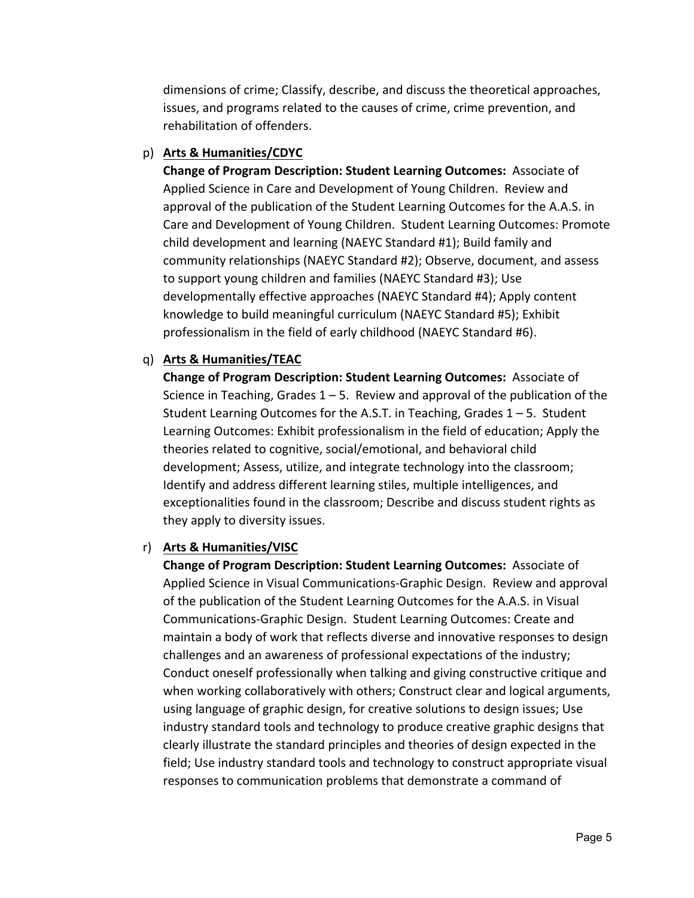dimensions of crime; Classify, describe, and discuss the theoretical approaches, issues, and programs related to the causes of crime, crime prevention, and rehabilitation of offenders.

## p) **Arts & Humanities/CDYC**

**Change of Program Description: Student Learning Outcomes:** Associate of Applied Science in Care and Development of Young Children. Review and approval of the publication of the Student Learning Outcomes for the A.A.S. in Care and Development of Young Children. Student Learning Outcomes: Promote child development and learning (NAEYC Standard #1); Build family and community relationships (NAEYC Standard #2); Observe, document, and assess to support young children and families (NAEYC Standard #3); Use developmentally effective approaches (NAEYC Standard #4); Apply content knowledge to build meaningful curriculum (NAEYC Standard #5); Exhibit professionalism in the field of early childhood (NAEYC Standard #6).

#### q) **Arts & Humanities/TEAC**

**Change of Program Description: Student Learning Outcomes: Associate of** Science in Teaching, Grades  $1 - 5$ . Review and approval of the publication of the Student Learning Outcomes for the A.S.T. in Teaching, Grades  $1 - 5$ . Student Learning Outcomes: Exhibit professionalism in the field of education; Apply the theories related to cognitive, social/emotional, and behavioral child development; Assess, utilize, and integrate technology into the classroom; Identify and address different learning stiles, multiple intelligences, and exceptionalities found in the classroom; Describe and discuss student rights as they apply to diversity issues.

#### r) **Arts & Humanities/VISC**

**Change of Program Description: Student Learning Outcomes: Associate of** Applied Science in Visual Communications‐Graphic Design. Review and approval of the publication of the Student Learning Outcomes for the A.A.S. in Visual Communications‐Graphic Design. Student Learning Outcomes: Create and maintain a body of work that reflects diverse and innovative responses to design challenges and an awareness of professional expectations of the industry; Conduct oneself professionally when talking and giving constructive critique and when working collaboratively with others; Construct clear and logical arguments, using language of graphic design, for creative solutions to design issues; Use industry standard tools and technology to produce creative graphic designs that clearly illustrate the standard principles and theories of design expected in the field; Use industry standard tools and technology to construct appropriate visual responses to communication problems that demonstrate a command of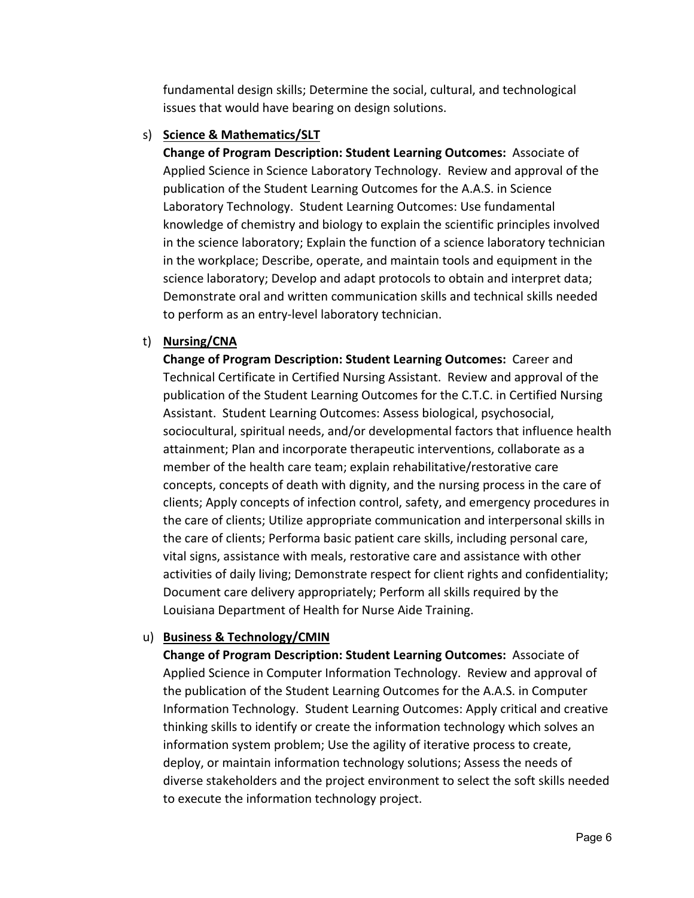fundamental design skills; Determine the social, cultural, and technological issues that would have bearing on design solutions.

#### s) **Science & Mathematics/SLT**

**Change of Program Description: Student Learning Outcomes:** Associate of Applied Science in Science Laboratory Technology. Review and approval of the publication of the Student Learning Outcomes for the A.A.S. in Science Laboratory Technology. Student Learning Outcomes: Use fundamental knowledge of chemistry and biology to explain the scientific principles involved in the science laboratory; Explain the function of a science laboratory technician in the workplace; Describe, operate, and maintain tools and equipment in the science laboratory; Develop and adapt protocols to obtain and interpret data; Demonstrate oral and written communication skills and technical skills needed to perform as an entry‐level laboratory technician.

## t) **Nursing/CNA**

**Change of Program Description: Student Learning Outcomes:** Career and Technical Certificate in Certified Nursing Assistant. Review and approval of the publication of the Student Learning Outcomes for the C.T.C. in Certified Nursing Assistant. Student Learning Outcomes: Assess biological, psychosocial, sociocultural, spiritual needs, and/or developmental factors that influence health attainment; Plan and incorporate therapeutic interventions, collaborate as a member of the health care team; explain rehabilitative/restorative care concepts, concepts of death with dignity, and the nursing process in the care of clients; Apply concepts of infection control, safety, and emergency procedures in the care of clients; Utilize appropriate communication and interpersonal skills in the care of clients; Performa basic patient care skills, including personal care, vital signs, assistance with meals, restorative care and assistance with other activities of daily living; Demonstrate respect for client rights and confidentiality; Document care delivery appropriately; Perform all skills required by the Louisiana Department of Health for Nurse Aide Training.

## u) **Business & Technology/CMIN**

**Change of Program Description: Student Learning Outcomes:** Associate of Applied Science in Computer Information Technology. Review and approval of the publication of the Student Learning Outcomes for the A.A.S. in Computer Information Technology. Student Learning Outcomes: Apply critical and creative thinking skills to identify or create the information technology which solves an information system problem; Use the agility of iterative process to create, deploy, or maintain information technology solutions; Assess the needs of diverse stakeholders and the project environment to select the soft skills needed to execute the information technology project.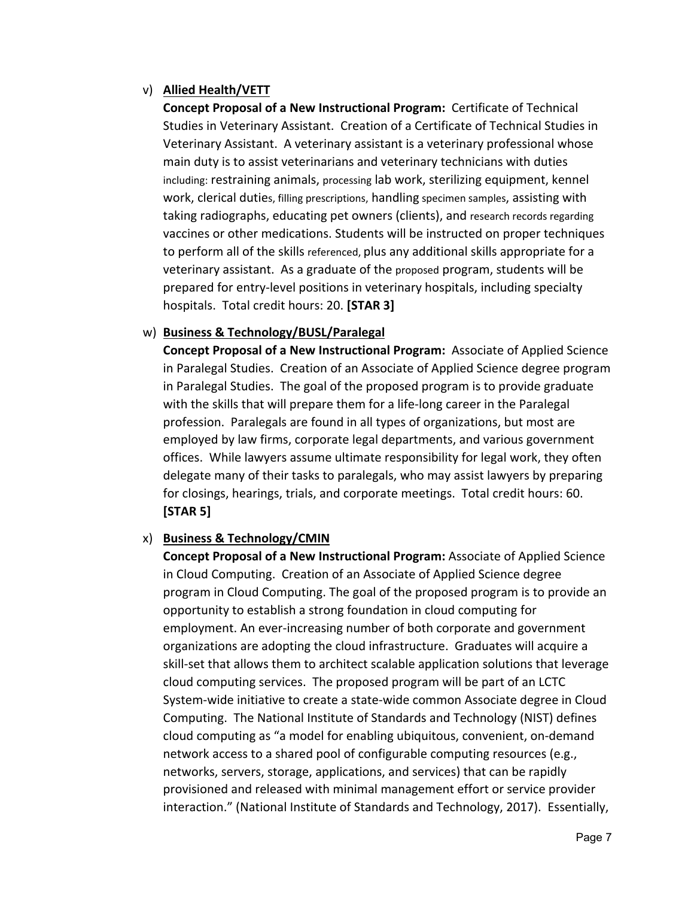## v) **Allied Health/VETT**

**Concept Proposal of a New Instructional Program:** Certificate of Technical Studies in Veterinary Assistant. Creation of a Certificate of Technical Studies in Veterinary Assistant. A veterinary assistant is a veterinary professional whose main duty is to assist veterinarians and veterinary technicians with duties including: restraining animals, processing lab work, sterilizing equipment, kennel work, clerical duties, filling prescriptions, handling specimen samples, assisting with taking radiographs, educating pet owners (clients), and research records regarding vaccines or other medications. Students will be instructed on proper techniques to perform all of the skills referenced, plus any additional skills appropriate for a veterinary assistant. As a graduate of the proposed program, students will be prepared for entry‐level positions in veterinary hospitals, including specialty hospitals. Total credit hours: 20. **[STAR 3]**

#### w) **Business & Technology/BUSL/Paralegal**

**Concept Proposal of a New Instructional Program:** Associate of Applied Science in Paralegal Studies. Creation of an Associate of Applied Science degree program in Paralegal Studies. The goal of the proposed program is to provide graduate with the skills that will prepare them for a life-long career in the Paralegal profession. Paralegals are found in all types of organizations, but most are employed by law firms, corporate legal departments, and various government offices. While lawyers assume ultimate responsibility for legal work, they often delegate many of their tasks to paralegals, who may assist lawyers by preparing for closings, hearings, trials, and corporate meetings. Total credit hours: 60. **[STAR 5]**

#### x) **Business & Technology/CMIN**

**Concept Proposal of a New Instructional Program:** Associate of Applied Science in Cloud Computing. Creation of an Associate of Applied Science degree program in Cloud Computing. The goal of the proposed program is to provide an opportunity to establish a strong foundation in cloud computing for employment. An ever‐increasing number of both corporate and government organizations are adopting the cloud infrastructure. Graduates will acquire a skill‐set that allows them to architect scalable application solutions that leverage cloud computing services. The proposed program will be part of an LCTC System‐wide initiative to create a state‐wide common Associate degree in Cloud Computing. The National Institute of Standards and Technology (NIST) defines cloud computing as "a model for enabling ubiquitous, convenient, on‐demand network access to a shared pool of configurable computing resources (e.g., networks, servers, storage, applications, and services) that can be rapidly provisioned and released with minimal management effort or service provider interaction." (National Institute of Standards and Technology, 2017). Essentially,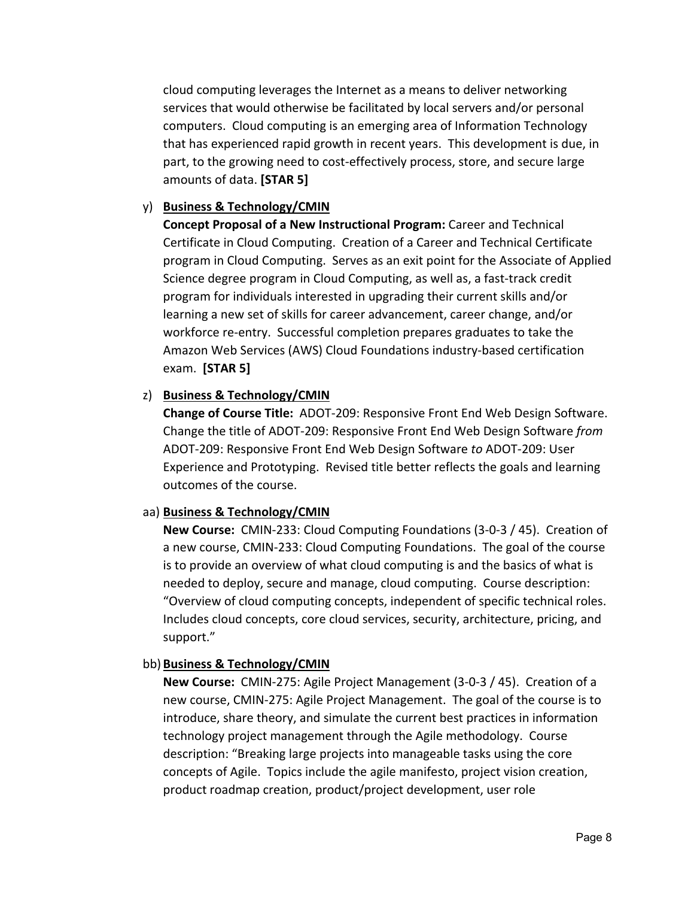cloud computing leverages the Internet as a means to deliver networking services that would otherwise be facilitated by local servers and/or personal computers. Cloud computing is an emerging area of Information Technology that has experienced rapid growth in recent years. This development is due, in part, to the growing need to cost‐effectively process, store, and secure large amounts of data. **[STAR 5]**

## y) **Business & Technology/CMIN**

**Concept Proposal of a New Instructional Program:** Career and Technical Certificate in Cloud Computing. Creation of a Career and Technical Certificate program in Cloud Computing. Serves as an exit point for the Associate of Applied Science degree program in Cloud Computing, as well as, a fast‐track credit program for individuals interested in upgrading their current skills and/or learning a new set of skills for career advancement, career change, and/or workforce re‐entry. Successful completion prepares graduates to take the Amazon Web Services (AWS) Cloud Foundations industry‐based certification exam. **[STAR 5]**

#### z) **Business & Technology/CMIN**

**Change of Course Title:** ADOT‐209: Responsive Front End Web Design Software. Change the title of ADOT‐209: Responsive Front End Web Design Software *from*  ADOT‐209: Responsive Front End Web Design Software *to* ADOT‐209: User Experience and Prototyping. Revised title better reflects the goals and learning outcomes of the course.

#### aa) **Business & Technology/CMIN**

**New Course:** CMIN‐233: Cloud Computing Foundations (3‐0‐3 / 45). Creation of a new course, CMIN‐233: Cloud Computing Foundations. The goal of the course is to provide an overview of what cloud computing is and the basics of what is needed to deploy, secure and manage, cloud computing. Course description: "Overview of cloud computing concepts, independent of specific technical roles. Includes cloud concepts, core cloud services, security, architecture, pricing, and support."

## bb) **Business & Technology/CMIN**

**New Course:** CMIN‐275: Agile Project Management (3‐0‐3 / 45). Creation of a new course, CMIN‐275: Agile Project Management. The goal of the course is to introduce, share theory, and simulate the current best practices in information technology project management through the Agile methodology. Course description: "Breaking large projects into manageable tasks using the core concepts of Agile. Topics include the agile manifesto, project vision creation, product roadmap creation, product/project development, user role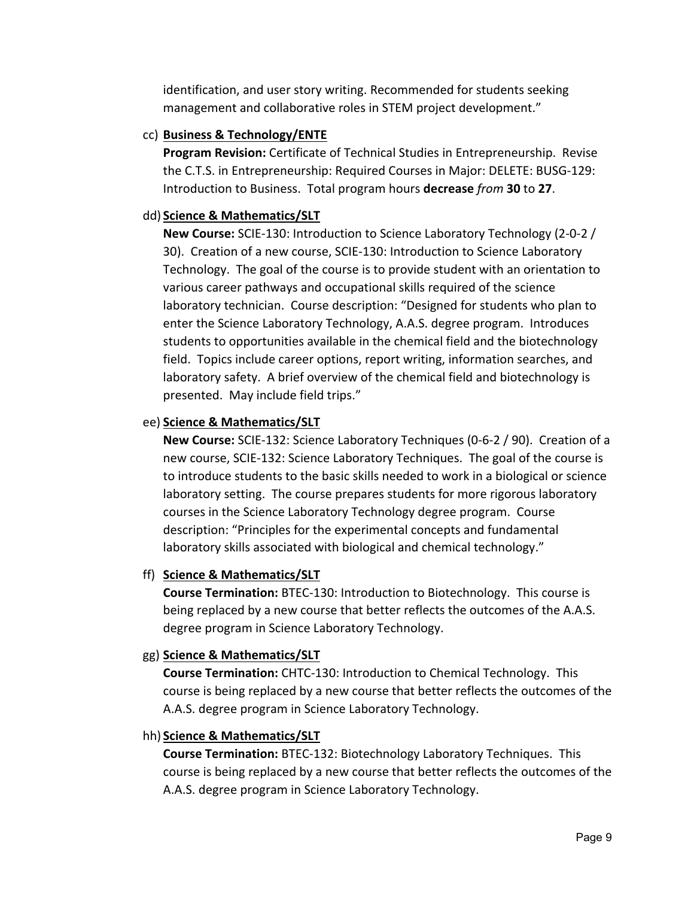identification, and user story writing. Recommended for students seeking management and collaborative roles in STEM project development."

#### cc) **Business & Technology/ENTE**

**Program Revision:** Certificate of Technical Studies in Entrepreneurship. Revise the C.T.S. in Entrepreneurship: Required Courses in Major: DELETE: BUSG‐129: Introduction to Business. Total program hours **decrease** *from* **30** to **27**.

#### dd) **Science & Mathematics/SLT**

**New Course:** SCIE‐130: Introduction to Science Laboratory Technology (2‐0‐2 / 30). Creation of a new course, SCIE‐130: Introduction to Science Laboratory Technology. The goal of the course is to provide student with an orientation to various career pathways and occupational skills required of the science laboratory technician. Course description: "Designed for students who plan to enter the Science Laboratory Technology, A.A.S. degree program. Introduces students to opportunities available in the chemical field and the biotechnology field. Topics include career options, report writing, information searches, and laboratory safety. A brief overview of the chemical field and biotechnology is presented. May include field trips."

## ee) **Science & Mathematics/SLT**

**New Course:** SCIE‐132: Science Laboratory Techniques (0‐6‐2 / 90). Creation of a new course, SCIE‐132: Science Laboratory Techniques. The goal of the course is to introduce students to the basic skills needed to work in a biological or science laboratory setting. The course prepares students for more rigorous laboratory courses in the Science Laboratory Technology degree program. Course description: "Principles for the experimental concepts and fundamental laboratory skills associated with biological and chemical technology."

## ff) **Science & Mathematics/SLT**

**Course Termination:** BTEC‐130: Introduction to Biotechnology. This course is being replaced by a new course that better reflects the outcomes of the A.A.S. degree program in Science Laboratory Technology.

#### gg) **Science & Mathematics/SLT**

**Course Termination:** CHTC‐130: Introduction to Chemical Technology. This course is being replaced by a new course that better reflects the outcomes of the A.A.S. degree program in Science Laboratory Technology.

#### hh) **Science & Mathematics/SLT**

**Course Termination:** BTEC‐132: Biotechnology Laboratory Techniques. This course is being replaced by a new course that better reflects the outcomes of the A.A.S. degree program in Science Laboratory Technology.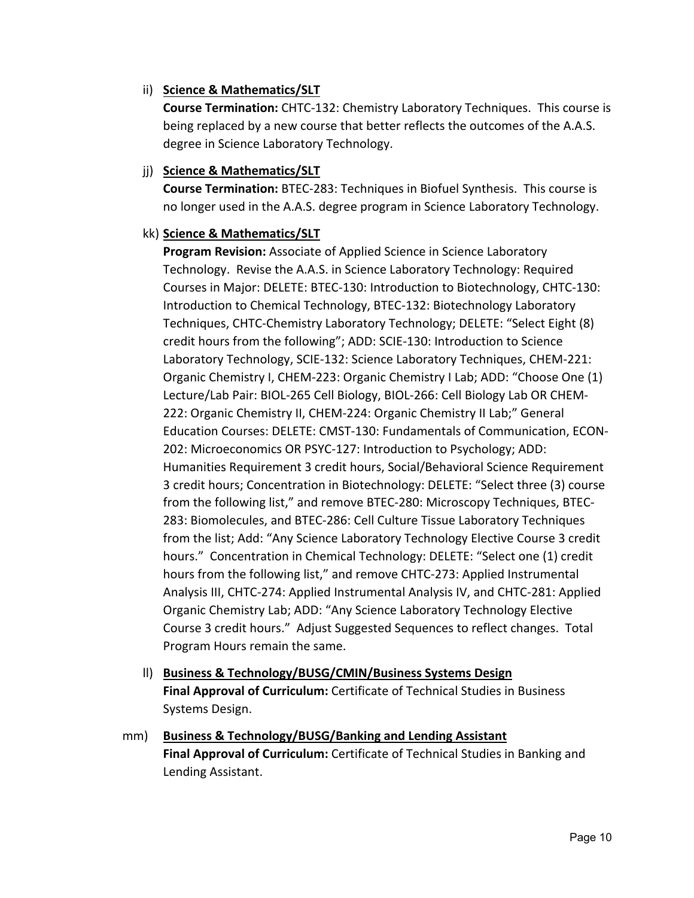#### ii) **Science & Mathematics/SLT**

**Course Termination:** CHTC‐132: Chemistry Laboratory Techniques. This course is being replaced by a new course that better reflects the outcomes of the A.A.S. degree in Science Laboratory Technology.

#### jj) **Science & Mathematics/SLT**

**Course Termination:** BTEC‐283: Techniques in Biofuel Synthesis. This course is no longer used in the A.A.S. degree program in Science Laboratory Technology.

## kk) **Science & Mathematics/SLT**

**Program Revision:** Associate of Applied Science in Science Laboratory Technology. Revise the A.A.S. in Science Laboratory Technology: Required Courses in Major: DELETE: BTEC‐130: Introduction to Biotechnology, CHTC‐130: Introduction to Chemical Technology, BTEC‐132: Biotechnology Laboratory Techniques, CHTC‐Chemistry Laboratory Technology; DELETE: "Select Eight (8) credit hours from the following"; ADD: SCIE‐130: Introduction to Science Laboratory Technology, SCIE‐132: Science Laboratory Techniques, CHEM‐221: Organic Chemistry I, CHEM‐223: Organic Chemistry I Lab; ADD: "Choose One (1) Lecture/Lab Pair: BIOL‐265 Cell Biology, BIOL‐266: Cell Biology Lab OR CHEM‐ 222: Organic Chemistry II, CHEM‐224: Organic Chemistry II Lab;" General Education Courses: DELETE: CMST‐130: Fundamentals of Communication, ECON‐ 202: Microeconomics OR PSYC‐127: Introduction to Psychology; ADD: Humanities Requirement 3 credit hours, Social/Behavioral Science Requirement 3 credit hours; Concentration in Biotechnology: DELETE: "Select three (3) course from the following list," and remove BTEC‐280: Microscopy Techniques, BTEC‐ 283: Biomolecules, and BTEC‐286: Cell Culture Tissue Laboratory Techniques from the list; Add: "Any Science Laboratory Technology Elective Course 3 credit hours." Concentration in Chemical Technology: DELETE: "Select one (1) credit hours from the following list," and remove CHTC‐273: Applied Instrumental Analysis III, CHTC‐274: Applied Instrumental Analysis IV, and CHTC‐281: Applied Organic Chemistry Lab; ADD: "Any Science Laboratory Technology Elective Course 3 credit hours." Adjust Suggested Sequences to reflect changes. Total Program Hours remain the same.

- ll) **Business & Technology/BUSG/CMIN/Business Systems Design Final Approval of Curriculum:** Certificate of Technical Studies in Business Systems Design.
- mm) **Business & Technology/BUSG/Banking and Lending Assistant Final Approval of Curriculum:** Certificate of Technical Studies in Banking and Lending Assistant.